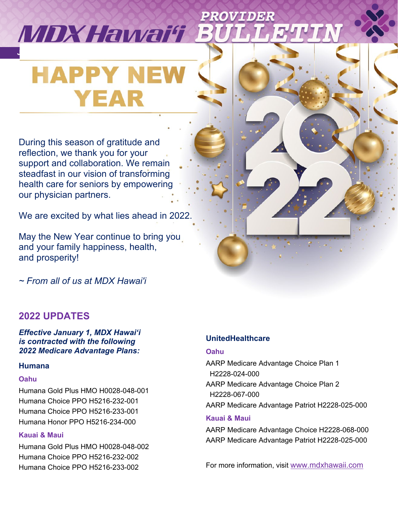# ROVIDER **MDXHawai'i E January 2022 Volume 3 l Issue 1**

# **HAPPY NEV YEAR**

During this season of gratitude and reflection, we thank you for your support and collaboration. We remain steadfast in our vision of transforming health care for seniors by empowering our physician partners.

We are excited by what lies ahead in 2022.

May the New Year continue to bring you and your family happiness, health, and prosperity!

*~ From all of us at MDX Hawai'i*

# **2022 UPDATES**

*Effective January 1, MDX Hawai'i is contracted with the following 2022 Medicare Advantage Plans:*

#### **Humana**

#### **Oahu**

Humana Gold Plus HMO H0028-048-001 Humana Choice PPO H5216-232-001 Humana Choice PPO H5216-233-001 Humana Honor PPO H5216-234-000

#### **Kauai & Maui**

Humana Gold Plus HMO H0028-048-002 Humana Choice PPO H5216-232-002 Humana Choice PPO H5216-233-002

#### **UnitedHealthcare**

#### **Oahu**

AARP Medicare Advantage Choice Plan 1 H2228-024-000 AARP Medicare Advantage Choice Plan 2 H2228-067-000 AARP Medicare Advantage Patriot H2228-025-000 **Kauai & Maui**  AARP Medicare Advantage Choice H2228-068-000 AARP Medicare Advantage Patriot H2228-025-000

For more information, visit [www.mdxhawaii.com](http://www.mdxhawaii.com/)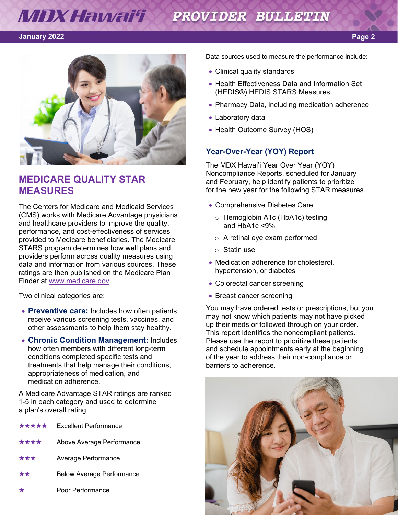#### **MDX Hawai'i X** PROVIDER BULLETIN

#### **January 2022**



# **MEDICARE QUALITY STAR MEASURES**

The Centers for Medicare and Medicaid Services (CMS) works with Medicare Advantage physicians and healthcare providers to improve the quality, performance, and cost-effectiveness of services provided to Medicare beneficiaries. The Medicare STARS program determines how well plans and providers perform across quality measures using data and information from various sources. These ratings are then published on the Medicare Plan Finder at [www.medicare.gov.](http://www.medicare.gov/)

Two clinical categories are:

- **Preventive care:** Includes how often patients receive various screening tests, vaccines, and other assessments to help them stay healthy.
- **Chronic Condition Management:** Includes how often members with different long-term conditions completed specific tests and treatments that help manage their conditions, appropriateness of medication, and medication adherence.

A Medicare Advantage STAR ratings are ranked 1-5 in each category and used to determine a plan's overall rating.

- ★★★★★ Excellent Performance
- ★★★★ Above Average Performance
- Average Performance
- **Below Average Performance**
- Poor Performance

Data sources used to measure the performance include:

- Clinical quality standards
- Health Effectiveness Data and Information Set (HEDIS®) HEDIS STARS Measures
- Pharmacy Data, including medication adherence
- Laboratory data
- Health Outcome Survey (HOS)

#### **Year-Over-Year (YOY) Report**

The MDX Hawai'i Year Over Year (YOY) Noncompliance Reports, scheduled for January and February, help identify patients to prioritize for the new year for the following STAR measures.

- Comprehensive Diabetes Care:
	- o Hemoglobin A1c (HbA1c) testing and HbA1c <9%
	- o A retinal eye exam performed
	- o Statin use
- Medication adherence for cholesterol. hypertension, or diabetes
- Colorectal cancer screening
- Breast cancer screening

You may have ordered tests or prescriptions, but you may not know which patients may not have picked up their meds or followed through on your order. This report identifies the noncompliant patients. Please use the report to prioritize these patients and schedule appointments early at the beginning of the year to address their non-compliance or barriers to adherence.

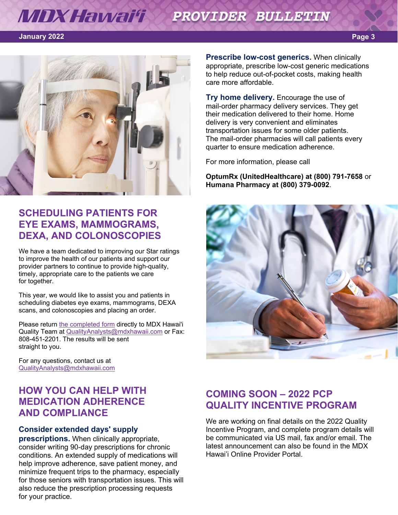#### **MDX Hawai'i XX** PROVIDER BULLETIN

#### **January 2022**



# **SCHEDULING PATIENTS FOR EYE EXAMS, MAMMOGRAMS, DEXA, AND COLONOSCOPIES**

We have a team dedicated to improving our Star ratings to improve the health of our patients and support our provider partners to continue to provide high-quality, timely, appropriate care to the patients we care for together.

This year, we would like to assist you and patients in scheduling diabetes eye exams, mammograms, DEXA scans, and colonoscopies and placing an order.

Please return [the completed form](https://www.mdxhawaii.com/Upload/PDFs/2022%20Provider%20Consent%20Form%20for%20Scheduling%20vF.pdf) directly to MDX Hawai'i Quality Team at [QualityAnalysts@mdxhawaii.com](mailto:QualityAnalysts@mdxhawaii.com) or Fax: 808-451-2201. The results will be sent straight to you.

For any questions, contact us at [QualityAnalysts@mdxhawaii.com](mailto:QualityAnalysts@mdxhawaii.com)

# **HOW YOU CAN HELP WITH MEDICATION ADHERENCE AND COMPLIANCE**

#### **Consider extended days' supply**

**prescriptions.** When clinically appropriate, consider writing 90-day prescriptions for chronic conditions. An extended supply of medications will help improve adherence, save patient money, and minimize frequent trips to the pharmacy, especially for those seniors with transportation issues. This will also reduce the prescription processing requests for your practice.

**Prescribe low-cost generics.** When clinically appropriate, prescribe low-cost generic medications to help reduce out-of-pocket costs, making health care more affordable.

**Try home delivery.** Encourage the use of mail-order pharmacy delivery services. They get their medication delivered to their home. Home delivery is very convenient and eliminates transportation issues for some older patients. The mail-order pharmacies will call patients every quarter to ensure medication adherence.

For more information, please call

**OptumRx (UnitedHealthcare) at (800) 791-7658** or **Humana Pharmacy at (800) 379-0092**.



### **COMING SOON – 2022 PCP QUALITY INCENTIVE PROGRAM**

We are working on final details on the 2022 Quality Incentive Program, and complete program details will be communicated via US mail, fax and/or email. The latest announcement can also be found in the MDX Hawai'i Online Provider Portal.